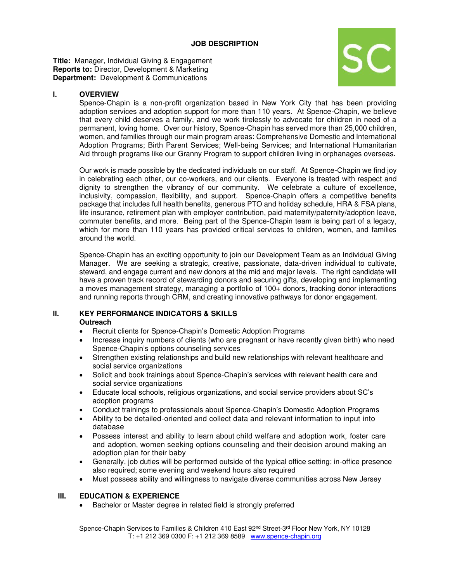**Title:** Manager, Individual Giving & Engagement **Reports to:** Director, Development & Marketing **Department:** Development & Communications



### **I. OVERVIEW**

Spence-Chapin is a non-profit organization based in New York City that has been providing adoption services and adoption support for more than 110 years. At Spence-Chapin, we believe that every child deserves a family, and we work tirelessly to advocate for children in need of a permanent, loving home. Over our history, Spence-Chapin has served more than 25,000 children, women, and families through our main program areas: Comprehensive Domestic and International Adoption Programs; Birth Parent Services; Well-being Services; and International Humanitarian Aid through programs like our Granny Program to support children living in orphanages overseas.

Our work is made possible by the dedicated individuals on our staff. At Spence-Chapin we find joy in celebrating each other, our co-workers, and our clients. Everyone is treated with respect and dignity to strengthen the vibrancy of our community. We celebrate a culture of excellence, inclusivity, compassion, flexibility, and support. Spence-Chapin offers a competitive benefits package that includes full health benefits, generous PTO and holiday schedule, HRA & FSA plans, life insurance, retirement plan with employer contribution, paid maternity/paternity/adoption leave, commuter benefits, and more. Being part of the Spence-Chapin team is being part of a legacy, which for more than 110 years has provided critical services to children, women, and families around the world.

Spence-Chapin has an exciting opportunity to join our Development Team as an Individual Giving Manager. We are seeking a strategic, creative, passionate, data-driven individual to cultivate, steward, and engage current and new donors at the mid and major levels. The right candidate will have a proven track record of stewarding donors and securing gifts, developing and implementing a moves management strategy, managing a portfolio of 100+ donors, tracking donor interactions and running reports through CRM, and creating innovative pathways for donor engagement.

#### **II. KEY PERFORMANCE INDICATORS & SKILLS Outreach**

- Recruit clients for Spence-Chapin's Domestic Adoption Programs
- Increase inquiry numbers of clients (who are pregnant or have recently given birth) who need Spence-Chapin's options counseling services
- Strengthen existing relationships and build new relationships with relevant healthcare and social service organizations
- Solicit and book trainings about Spence-Chapin's services with relevant health care and social service organizations
- Educate local schools, religious organizations, and social service providers about SC's adoption programs
- Conduct trainings to professionals about Spence-Chapin's Domestic Adoption Programs
- Ability to be detailed-oriented and collect data and relevant information to input into database
- Possess interest and ability to learn about child welfare and adoption work, foster care and adoption, women seeking options counseling and their decision around making an adoption plan for their baby
- Generally, job duties will be performed outside of the typical office setting; in-office presence also required; some evening and weekend hours also required
- Must possess ability and willingness to navigate diverse communities across New Jersey

### **III. EDUCATION & EXPERIENCE**

• Bachelor or Master degree in related field is strongly preferred

Spence-Chapin Services to Families & Children 410 East 92<sup>nd</sup> Street-3<sup>rd</sup> Floor New York, NY 10128 T: +1 212 369 0300 F: +1 212 369 8589 [www.spence-chapin.org](http://www.spence-chapin.org/)